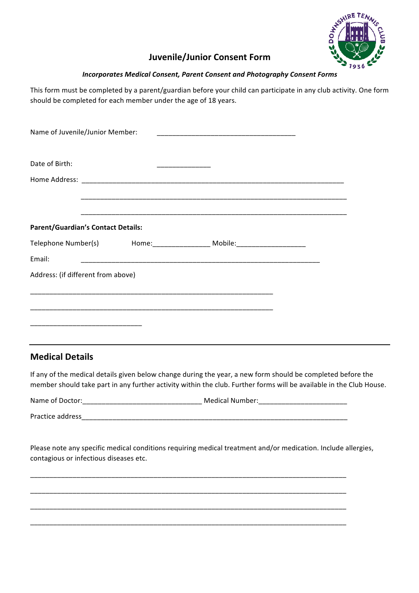

## **Juvenile/Junior Consent Form**

#### **Incorporates Medical Consent, Parent Consent and Photography Consent Forms**

This form must be completed by a parent/guardian before your child can participate in any club activity. One form should be completed for each member under the age of 18 years.

| Name of Juvenile/Junior Member:           |                                                                                                                      |  |
|-------------------------------------------|----------------------------------------------------------------------------------------------------------------------|--|
| Date of Birth:                            |                                                                                                                      |  |
|                                           |                                                                                                                      |  |
|                                           | <u>. Kan ang kabupatèn Kabupatèn Kabupatèn Kabupatèn Kabupatèn Kabupatèn Kabupatèn Kabupatèn Kabupatèn Kabupa</u>    |  |
| <b>Parent/Guardian's Contact Details:</b> |                                                                                                                      |  |
|                                           |                                                                                                                      |  |
| Email:                                    |                                                                                                                      |  |
| Address: (if different from above)        |                                                                                                                      |  |
|                                           | <u> 1989 - Johann John Harry, mars ar yn y brenin y brenin y brenin y brenin y brenin y brenin y brenin y brenin</u> |  |
|                                           | <u> 1989 - Jan James James James James James James James James James James James James James James James James</u>   |  |
|                                           |                                                                                                                      |  |

## **Medical Details**

If any of the medical details given below change during the year, a new form should be completed before the member should take part in any further activity within the club. Further forms will be available in the Club House.

Name of Doctor: entertainment of the Medical Number:

Practice address

\_\_\_\_\_\_\_\_\_\_\_\_\_\_\_\_\_\_\_\_\_\_\_\_\_\_\_\_\_\_\_\_\_\_\_\_\_\_\_\_\_\_\_\_\_\_\_\_\_\_\_\_\_\_\_\_\_\_\_\_\_\_\_\_\_\_\_\_\_\_\_\_\_\_\_\_\_\_\_\_\_\_

\_\_\_\_\_\_\_\_\_\_\_\_\_\_\_\_\_\_\_\_\_\_\_\_\_\_\_\_\_\_\_\_\_\_\_\_\_\_\_\_\_\_\_\_\_\_\_\_\_\_\_\_\_\_\_\_\_\_\_\_\_\_\_\_\_\_\_\_\_\_\_\_\_\_\_\_\_\_\_\_\_\_

\_\_\_\_\_\_\_\_\_\_\_\_\_\_\_\_\_\_\_\_\_\_\_\_\_\_\_\_\_\_\_\_\_\_\_\_\_\_\_\_\_\_\_\_\_\_\_\_\_\_\_\_\_\_\_\_\_\_\_\_\_\_\_\_\_\_\_\_\_\_\_\_\_\_\_\_\_\_\_\_\_\_

\_\_\_\_\_\_\_\_\_\_\_\_\_\_\_\_\_\_\_\_\_\_\_\_\_\_\_\_\_\_\_\_\_\_\_\_\_\_\_\_\_\_\_\_\_\_\_\_\_\_\_\_\_\_\_\_\_\_\_\_\_\_\_\_\_\_\_\_\_\_\_\_\_\_\_\_\_\_\_\_\_\_

Please note any specific medical conditions requiring medical treatment and/or medication. Include allergies, contagious or infectious diseases etc.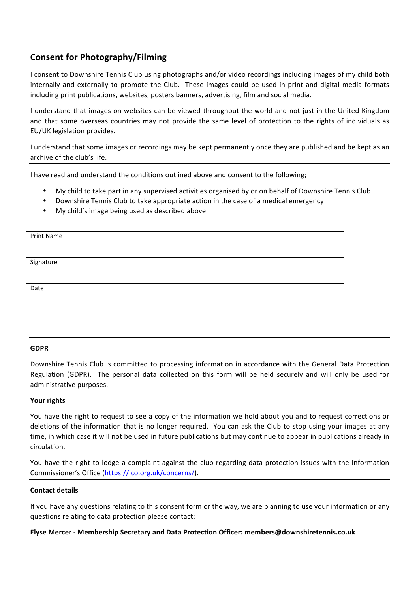# **Consent for Photography/Filming**

I consent to Downshire Tennis Club using photographs and/or video recordings including images of my child both internally and externally to promote the Club. These images could be used in print and digital media formats including print publications, websites, posters banners, advertising, film and social media.

I understand that images on websites can be viewed throughout the world and not just in the United Kingdom and that some overseas countries may not provide the same level of protection to the rights of individuals as EU/UK legislation provides. 

I understand that some images or recordings may be kept permanently once they are published and be kept as an archive of the club's life.

I have read and understand the conditions outlined above and consent to the following;

- My child to take part in any supervised activities organised by or on behalf of Downshire Tennis Club
- Downshire Tennis Club to take appropriate action in the case of a medical emergency
- My child's image being used as described above

| Print Name |  |
|------------|--|
|            |  |
| Signature  |  |
|            |  |
| Date       |  |
|            |  |

#### **GDPR**

Downshire Tennis Club is committed to processing information in accordance with the General Data Protection Regulation (GDPR). The personal data collected on this form will be held securely and will only be used for administrative purposes.

#### Your rights

You have the right to request to see a copy of the information we hold about you and to request corrections or deletions of the information that is no longer required. You can ask the Club to stop using your images at any time, in which case it will not be used in future publications but may continue to appear in publications already in circulation. 

You have the right to lodge a complaint against the club regarding data protection issues with the Information Commissioner's Office (https://ico.org.uk/concerns/).

#### **Contact details**

If you have any questions relating to this consent form or the way, we are planning to use your information or any questions relating to data protection please contact:

#### **Elyse Mercer - Membership Secretary and Data Protection Officer: members@downshiretennis.co.uk**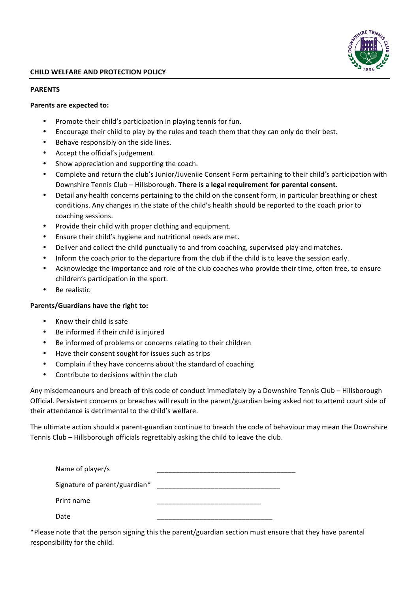

#### **PARENTS**

#### **Parents are expected to:**

- Promote their child's participation in playing tennis for fun.
- Encourage their child to play by the rules and teach them that they can only do their best.
- Behave responsibly on the side lines.
- Accept the official's judgement.
- Show appreciation and supporting the coach.
- Complete and return the club's Junior/Juvenile Consent Form pertaining to their child's participation with Downshire Tennis Club – Hillsborough. **There is a legal requirement for parental consent.**
- Detail any health concerns pertaining to the child on the consent form, in particular breathing or chest conditions. Any changes in the state of the child's health should be reported to the coach prior to coaching sessions.
- Provide their child with proper clothing and equipment.
- Ensure their child's hygiene and nutritional needs are met.
- Deliver and collect the child punctually to and from coaching, supervised play and matches.
- Inform the coach prior to the departure from the club if the child is to leave the session early.
- Acknowledge the importance and role of the club coaches who provide their time, often free, to ensure children's participation in the sport.
- Be realistic

#### **Parents/Guardians have the right to:**

- Know their child is safe
- Be informed if their child is injured
- Be informed of problems or concerns relating to their children
- Have their consent sought for issues such as trips
- Complain if they have concerns about the standard of coaching
- Contribute to decisions within the club

Any misdemeanours and breach of this code of conduct immediately by a Downshire Tennis Club – Hillsborough Official. Persistent concerns or breaches will result in the parent/guardian being asked not to attend court side of their attendance is detrimental to the child's welfare.

The ultimate action should a parent-guardian continue to breach the code of behaviour may mean the Downshire Tennis Club – Hillsborough officials regrettably asking the child to leave the club.

| Name of player/s              |  |
|-------------------------------|--|
| Signature of parent/guardian* |  |
| Print name                    |  |
| Date                          |  |

\*Please note that the person signing this the parent/guardian section must ensure that they have parental responsibility for the child.